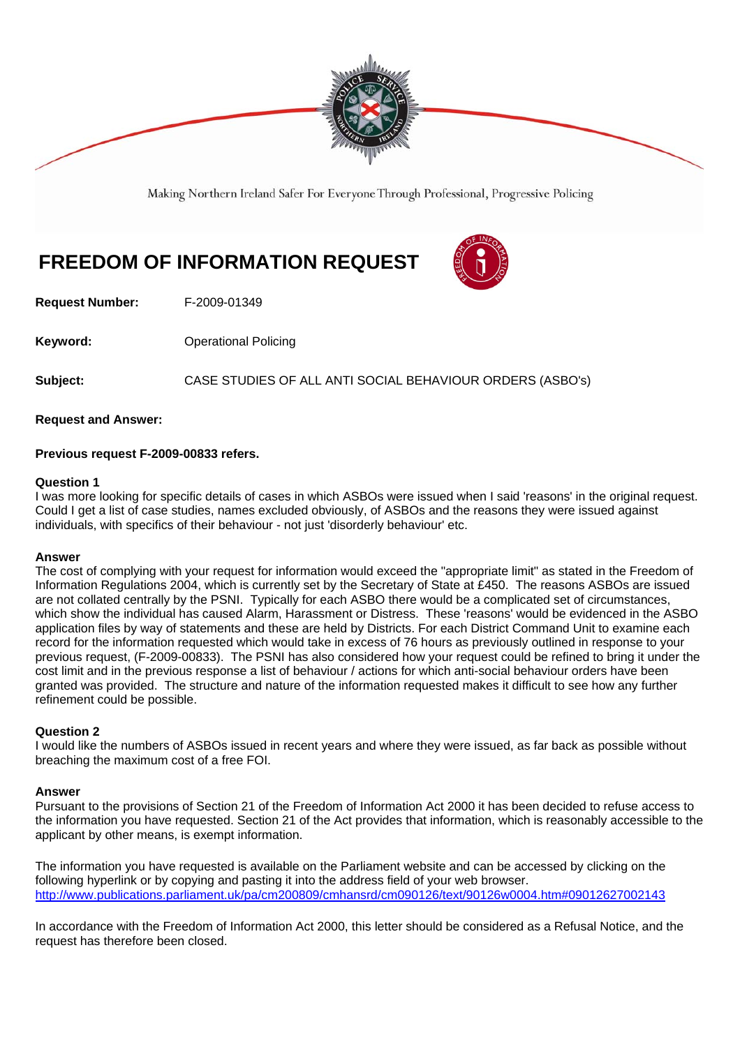

Making Northern Ireland Safer For Everyone Through Professional, Progressive Policing

# **FREEDOM OF INFORMATION REQUEST**



**Request Number:** F-2009-01349

**Keyword: Conservery Operational Policing** 

**Subject:** CASE STUDIES OF ALL ANTI SOCIAL BEHAVIOUR ORDERS (ASBO's)

**Request and Answer:** 

## **Previous request F-2009-00833 refers.**

### **Question 1**

I was more looking for specific details of cases in which ASBOs were issued when I said 'reasons' in the original request. Could I get a list of case studies, names excluded obviously, of ASBOs and the reasons they were issued against individuals, with specifics of their behaviour - not just 'disorderly behaviour' etc.

### **Answer**

The cost of complying with your request for information would exceed the "appropriate limit" as stated in the Freedom of Information Regulations 2004, which is currently set by the Secretary of State at £450. The reasons ASBOs are issued are not collated centrally by the PSNI. Typically for each ASBO there would be a complicated set of circumstances, which show the individual has caused Alarm, Harassment or Distress. These 'reasons' would be evidenced in the ASBO application files by way of statements and these are held by Districts. For each District Command Unit to examine each record for the information requested which would take in excess of 76 hours as previously outlined in response to your previous request, (F-2009-00833). The PSNI has also considered how your request could be refined to bring it under the cost limit and in the previous response a list of behaviour / actions for which anti-social behaviour orders have been granted was provided. The structure and nature of the information requested makes it difficult to see how any further refinement could be possible.

## **Question 2**

I would like the numbers of ASBOs issued in recent years and where they were issued, as far back as possible without breaching the maximum cost of a free FOI.

### **Answer**

Pursuant to the provisions of Section 21 of the Freedom of Information Act 2000 it has been decided to refuse access to the information you have requested. Section 21 of the Act provides that information, which is reasonably accessible to the applicant by other means, is exempt information.

The information you have requested is available on the Parliament website and can be accessed by clicking on the following hyperlink or by copying and pasting it into the address field of your web browser. http://www.publications.parliament.uk/pa/cm200809/cmhansrd/cm090126/text/90126w0004.htm#09012627002143

In accordance with the Freedom of Information Act 2000, this letter should be considered as a Refusal Notice, and the request has therefore been closed.